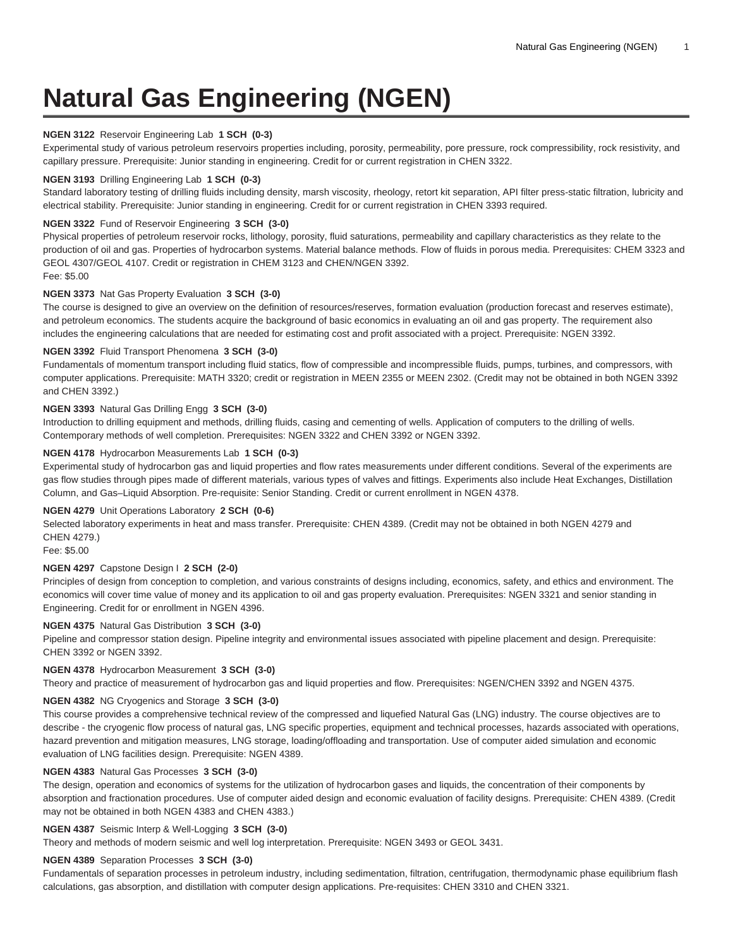# **Natural Gas Engineering (NGEN)**

### **NGEN 3122** Reservoir Engineering Lab **1 SCH (0-3)**

Experimental study of various petroleum reservoirs properties including, porosity, permeability, pore pressure, rock compressibility, rock resistivity, and capillary pressure. Prerequisite: Junior standing in engineering. Credit for or current registration in CHEN 3322.

## **NGEN 3193** Drilling Engineering Lab **1 SCH (0-3)**

Standard laboratory testing of drilling fluids including density, marsh viscosity, rheology, retort kit separation, API filter press-static filtration, lubricity and electrical stability. Prerequisite: Junior standing in engineering. Credit for or current registration in CHEN 3393 required.

#### **NGEN 3322** Fund of Reservoir Engineering **3 SCH (3-0)**

Physical properties of petroleum reservoir rocks, lithology, porosity, fluid saturations, permeability and capillary characteristics as they relate to the production of oil and gas. Properties of hydrocarbon systems. Material balance methods. Flow of fluids in porous media. Prerequisites: CHEM 3323 and GEOL 4307/GEOL 4107. Credit or registration in CHEM 3123 and CHEN/NGEN 3392. Fee: \$5.00

### **NGEN 3373** Nat Gas Property Evaluation **3 SCH (3-0)**

The course is designed to give an overview on the definition of resources/reserves, formation evaluation (production forecast and reserves estimate), and petroleum economics. The students acquire the background of basic economics in evaluating an oil and gas property. The requirement also includes the engineering calculations that are needed for estimating cost and profit associated with a project. Prerequisite: NGEN 3392.

#### **NGEN 3392** Fluid Transport Phenomena **3 SCH (3-0)**

Fundamentals of momentum transport including fluid statics, flow of compressible and incompressible fluids, pumps, turbines, and compressors, with computer applications. Prerequisite: MATH 3320; credit or registration in MEEN 2355 or MEEN 2302. (Credit may not be obtained in both NGEN 3392 and CHEN 3392.)

#### **NGEN 3393** Natural Gas Drilling Engg **3 SCH (3-0)**

Introduction to drilling equipment and methods, drilling fluids, casing and cementing of wells. Application of computers to the drilling of wells. Contemporary methods of well completion. Prerequisites: NGEN 3322 and CHEN 3392 or NGEN 3392.

## **NGEN 4178** Hydrocarbon Measurements Lab **1 SCH (0-3)**

Experimental study of hydrocarbon gas and liquid properties and flow rates measurements under different conditions. Several of the experiments are gas flow studies through pipes made of different materials, various types of valves and fittings. Experiments also include Heat Exchanges, Distillation Column, and Gas–Liquid Absorption. Pre-requisite: Senior Standing. Credit or current enrollment in NGEN 4378.

#### **NGEN 4279** Unit Operations Laboratory **2 SCH (0-6)**

Selected laboratory experiments in heat and mass transfer. Prerequisite: CHEN 4389. (Credit may not be obtained in both NGEN 4279 and CHEN 4279.)

Fee: \$5.00

## **NGEN 4297** Capstone Design I **2 SCH (2-0)**

Principles of design from conception to completion, and various constraints of designs including, economics, safety, and ethics and environment. The economics will cover time value of money and its application to oil and gas property evaluation. Prerequisites: NGEN 3321 and senior standing in Engineering. Credit for or enrollment in NGEN 4396.

### **NGEN 4375** Natural Gas Distribution **3 SCH (3-0)**

Pipeline and compressor station design. Pipeline integrity and environmental issues associated with pipeline placement and design. Prerequisite: CHEN 3392 or NGEN 3392.

#### **NGEN 4378** Hydrocarbon Measurement **3 SCH (3-0)**

Theory and practice of measurement of hydrocarbon gas and liquid properties and flow. Prerequisites: NGEN/CHEN 3392 and NGEN 4375.

## **NGEN 4382** NG Cryogenics and Storage **3 SCH (3-0)**

This course provides a comprehensive technical review of the compressed and liquefied Natural Gas (LNG) industry. The course objectives are to describe - the cryogenic flow process of natural gas, LNG specific properties, equipment and technical processes, hazards associated with operations, hazard prevention and mitigation measures, LNG storage, loading/offloading and transportation. Use of computer aided simulation and economic evaluation of LNG facilities design. Prerequisite: NGEN 4389.

### **NGEN 4383** Natural Gas Processes **3 SCH (3-0)**

The design, operation and economics of systems for the utilization of hydrocarbon gases and liquids, the concentration of their components by absorption and fractionation procedures. Use of computer aided design and economic evaluation of facility designs. Prerequisite: CHEN 4389. (Credit may not be obtained in both NGEN 4383 and CHEN 4383.)

## **NGEN 4387** Seismic Interp & Well-Logging **3 SCH (3-0)**

Theory and methods of modern seismic and well log interpretation. Prerequisite: NGEN 3493 or GEOL 3431.

# **NGEN 4389** Separation Processes **3 SCH (3-0)**

Fundamentals of separation processes in petroleum industry, including sedimentation, filtration, centrifugation, thermodynamic phase equilibrium flash calculations, gas absorption, and distillation with computer design applications. Pre-requisites: CHEN 3310 and CHEN 3321.